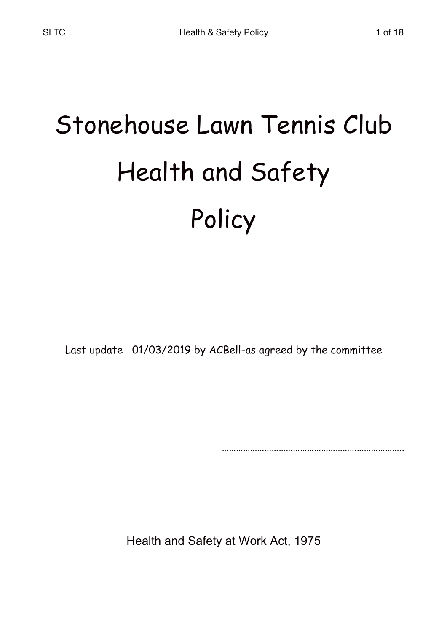# Stonehouse Lawn Tennis Club Health and Safety Policy

Last update 01/03/2019 by ACBell-as agreed by the committee

………………………………………………………………………

Health and Safety at Work Act, 1975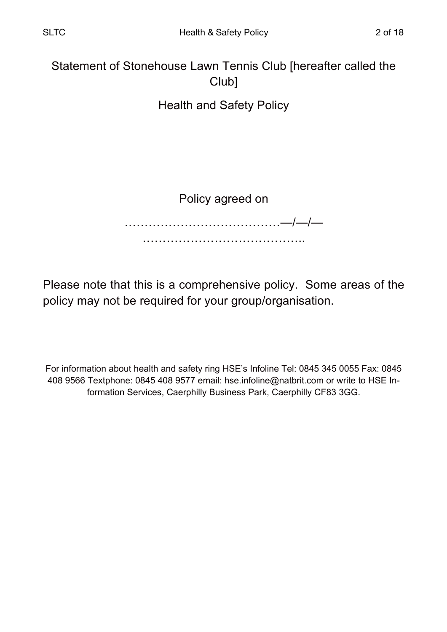Statement of Stonehouse Lawn Tennis Club [hereafter called the Club]

Health and Safety Policy

Policy agreed on

…………………………………—/—/— ……………………………………………………

Please note that this is a comprehensive policy. Some areas of the policy may not be required for your group/organisation.

For information about health and safety ring HSE's Infoline Tel: 0845 345 0055 Fax: 0845 408 9566 Textphone: 0845 408 9577 email: hse.infoline@natbrit.com or write to HSE Information Services, Caerphilly Business Park, Caerphilly CF83 3GG.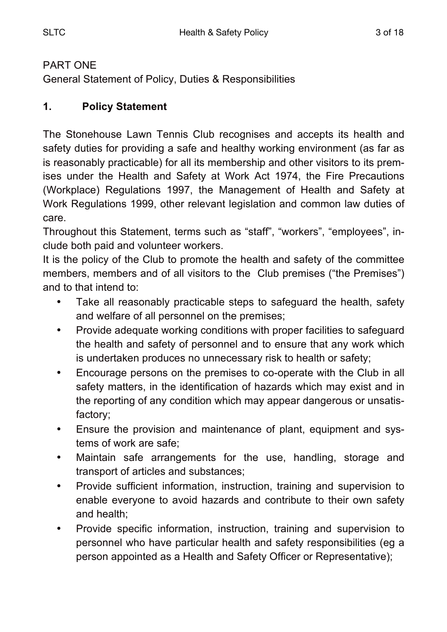#### PART ONE

General Statement of Policy, Duties & Responsibilities

## **1. Policy Statement**

The Stonehouse Lawn Tennis Club recognises and accepts its health and safety duties for providing a safe and healthy working environment (as far as is reasonably practicable) for all its membership and other visitors to its premises under the Health and Safety at Work Act 1974, the Fire Precautions (Workplace) Regulations 1997, the Management of Health and Safety at Work Regulations 1999, other relevant legislation and common law duties of care.

Throughout this Statement, terms such as "staff", "workers", "employees", include both paid and volunteer workers.

It is the policy of the Club to promote the health and safety of the committee members, members and of all visitors to the Club premises ("the Premises") and to that intend to:

- Take all reasonably practicable steps to safeguard the health, safety and welfare of all personnel on the premises;
- Provide adequate working conditions with proper facilities to safeguard the health and safety of personnel and to ensure that any work which is undertaken produces no unnecessary risk to health or safety;
- Encourage persons on the premises to co-operate with the Club in all safety matters, in the identification of hazards which may exist and in the reporting of any condition which may appear dangerous or unsatisfactory;
- Ensure the provision and maintenance of plant, equipment and systems of work are safe;
- Maintain safe arrangements for the use, handling, storage and transport of articles and substances;
- Provide sufficient information, instruction, training and supervision to enable everyone to avoid hazards and contribute to their own safety and health;
- Provide specific information, instruction, training and supervision to personnel who have particular health and safety responsibilities (eg a person appointed as a Health and Safety Officer or Representative);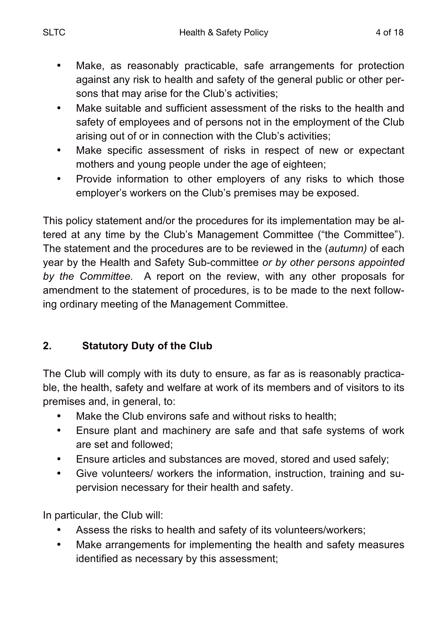- Make, as reasonably practicable, safe arrangements for protection against any risk to health and safety of the general public or other persons that may arise for the Club's activities;
- Make suitable and sufficient assessment of the risks to the health and safety of employees and of persons not in the employment of the Club arising out of or in connection with the Club's activities;
- Make specific assessment of risks in respect of new or expectant mothers and young people under the age of eighteen;
- Provide information to other employers of any risks to which those employer's workers on the Club's premises may be exposed.

This policy statement and/or the procedures for its implementation may be altered at any time by the Club's Management Committee ("the Committee"). The statement and the procedures are to be reviewed in the (*autumn)* of each year by the Health and Safety Sub-committee *or by other persons appointed by the Committee.* A report on the review, with any other proposals for amendment to the statement of procedures, is to be made to the next following ordinary meeting of the Management Committee.

# **2. Statutory Duty of the Club**

The Club will comply with its duty to ensure, as far as is reasonably practicable, the health, safety and welfare at work of its members and of visitors to its premises and, in general, to:

- Make the Club environs safe and without risks to health;
- Ensure plant and machinery are safe and that safe systems of work are set and followed;
- Ensure articles and substances are moved, stored and used safely;
- Give volunteers/ workers the information, instruction, training and supervision necessary for their health and safety.

In particular, the Club will:

- Assess the risks to health and safety of its volunteers/workers;
- Make arrangements for implementing the health and safety measures identified as necessary by this assessment;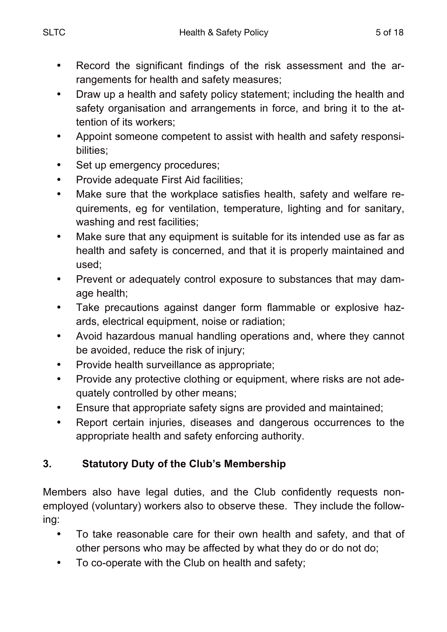- Draw up a health and safety policy statement; including the health and safety organisation and arrangements in force, and bring it to the attention of its workers;
- Appoint someone competent to assist with health and safety responsibilities;
- Set up emergency procedures;
- Provide adequate First Aid facilities;
- Make sure that the workplace satisfies health, safety and welfare requirements, eg for ventilation, temperature, lighting and for sanitary, washing and rest facilities;
- Make sure that any equipment is suitable for its intended use as far as health and safety is concerned, and that it is properly maintained and used;
- Prevent or adequately control exposure to substances that may damage health;
- Take precautions against danger form flammable or explosive hazards, electrical equipment, noise or radiation;
- Avoid hazardous manual handling operations and, where they cannot be avoided, reduce the risk of injury;
- Provide health surveillance as appropriate;
- Provide any protective clothing or equipment, where risks are not adequately controlled by other means;
- Ensure that appropriate safety signs are provided and maintained;
- Report certain injuries, diseases and dangerous occurrences to the appropriate health and safety enforcing authority.

# **3. Statutory Duty of the Club's Membership**

Members also have legal duties, and the Club confidently requests nonemployed (voluntary) workers also to observe these. They include the following:

- To take reasonable care for their own health and safety, and that of other persons who may be affected by what they do or do not do;
- To co-operate with the Club on health and safety;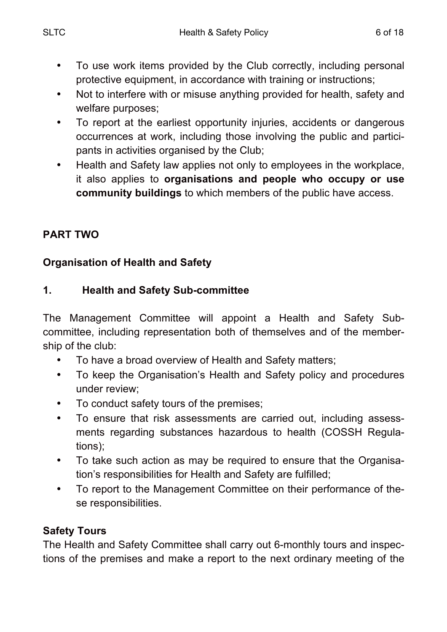- To use work items provided by the Club correctly, including personal protective equipment, in accordance with training or instructions;
- Not to interfere with or misuse anything provided for health, safety and welfare purposes;
- To report at the earliest opportunity injuries, accidents or dangerous occurrences at work, including those involving the public and participants in activities organised by the Club;
- Health and Safety law applies not only to employees in the workplace, it also applies to **organisations and people who occupy or use community buildings** to which members of the public have access.

# **PART TWO**

# **Organisation of Health and Safety**

# **1. Health and Safety Sub-committee**

The Management Committee will appoint a Health and Safety Subcommittee, including representation both of themselves and of the membership of the club:

- To have a broad overview of Health and Safety matters;
- To keep the Organisation's Health and Safety policy and procedures under review;
- To conduct safety tours of the premises;
- To ensure that risk assessments are carried out, including assessments regarding substances hazardous to health (COSSH Regulations);
- To take such action as may be required to ensure that the Organisation's responsibilities for Health and Safety are fulfilled;
- To report to the Management Committee on their performance of these responsibilities.

# **Safety Tours**

The Health and Safety Committee shall carry out 6-monthly tours and inspections of the premises and make a report to the next ordinary meeting of the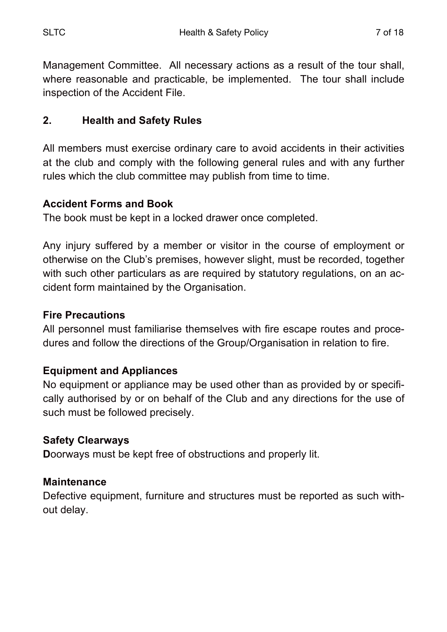Management Committee. All necessary actions as a result of the tour shall, where reasonable and practicable, be implemented. The tour shall include inspection of the Accident File.

# **2. Health and Safety Rules**

All members must exercise ordinary care to avoid accidents in their activities at the club and comply with the following general rules and with any further rules which the club committee may publish from time to time.

#### **Accident Forms and Book**

The book must be kept in a locked drawer once completed.

Any injury suffered by a member or visitor in the course of employment or otherwise on the Club's premises, however slight, must be recorded, together with such other particulars as are required by statutory regulations, on an accident form maintained by the Organisation.

#### **Fire Precautions**

All personnel must familiarise themselves with fire escape routes and procedures and follow the directions of the Group/Organisation in relation to fire.

#### **Equipment and Appliances**

No equipment or appliance may be used other than as provided by or specifically authorised by or on behalf of the Club and any directions for the use of such must be followed precisely.

#### **Safety Clearways**

**D**oorways must be kept free of obstructions and properly lit.

#### **Maintenance**

Defective equipment, furniture and structures must be reported as such without delay.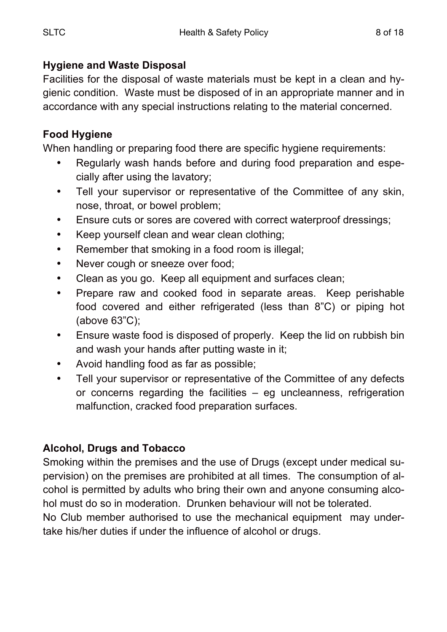# **Hygiene and Waste Disposal**

Facilities for the disposal of waste materials must be kept in a clean and hygienic condition. Waste must be disposed of in an appropriate manner and in accordance with any special instructions relating to the material concerned.

# **Food Hygiene**

When handling or preparing food there are specific hygiene requirements:

- Regularly wash hands before and during food preparation and especially after using the lavatory;
- Tell your supervisor or representative of the Committee of any skin, nose, throat, or bowel problem;
- Ensure cuts or sores are covered with correct waterproof dressings;
- Keep yourself clean and wear clean clothing;
- Remember that smoking in a food room is illegal;
- Never cough or sneeze over food;
- Clean as you go. Keep all equipment and surfaces clean;
- Prepare raw and cooked food in separate areas. Keep perishable food covered and either refrigerated (less than 8"C) or piping hot (above 63"C);
- Ensure waste food is disposed of properly. Keep the lid on rubbish bin and wash your hands after putting waste in it;
- Avoid handling food as far as possible;
- Tell your supervisor or representative of the Committee of any defects or concerns regarding the facilities – eg uncleanness, refrigeration malfunction, cracked food preparation surfaces.

# **Alcohol, Drugs and Tobacco**

Smoking within the premises and the use of Drugs (except under medical supervision) on the premises are prohibited at all times. The consumption of alcohol is permitted by adults who bring their own and anyone consuming alcohol must do so in moderation. Drunken behaviour will not be tolerated.

No Club member authorised to use the mechanical equipment may undertake his/her duties if under the influence of alcohol or drugs.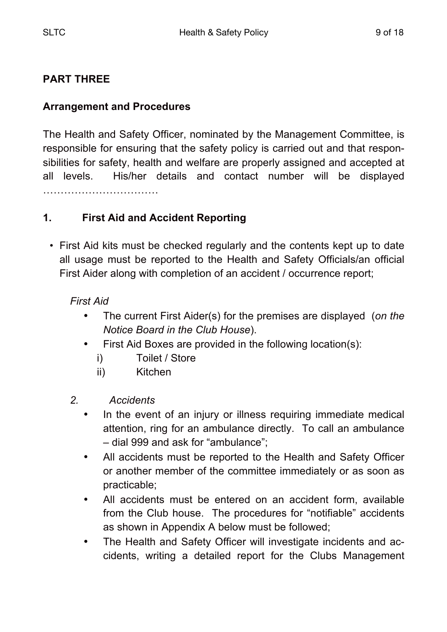#### **PART THREE**

#### **Arrangement and Procedures**

The Health and Safety Officer, nominated by the Management Committee, is responsible for ensuring that the safety policy is carried out and that responsibilities for safety, health and welfare are properly assigned and accepted at all levels. His/her details and contact number will be displayed …………………………………………

#### **1. First Aid and Accident Reporting**

• First Aid kits must be checked regularly and the contents kept up to date all usage must be reported to the Health and Safety Officials/an official First Aider along with completion of an accident / occurrence report;

#### *First Aid*

- The current First Aider(s) for the premises are displayed (*on the Notice Board in the Club House*).
- First Aid Boxes are provided in the following location(s):
	- i) Toilet / Store
	- ii) Kitchen
- *2. Accidents*
	- In the event of an injury or illness requiring immediate medical attention, ring for an ambulance directly. To call an ambulance – dial 999 and ask for "ambulance";
	- All accidents must be reported to the Health and Safety Officer or another member of the committee immediately or as soon as practicable;
	- All accidents must be entered on an accident form, available from the Club house. The procedures for "notifiable" accidents as shown in Appendix A below must be followed;
	- The Health and Safety Officer will investigate incidents and accidents, writing a detailed report for the Clubs Management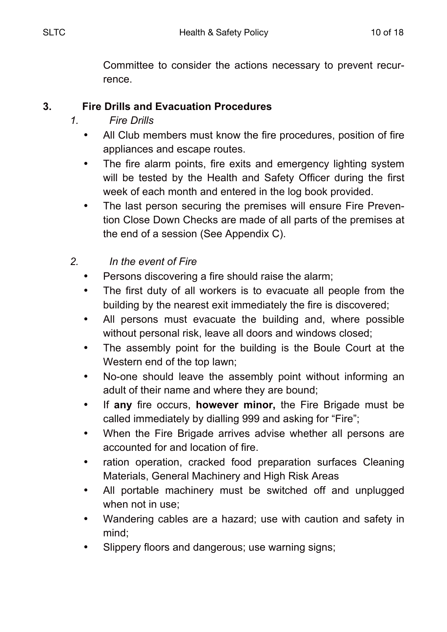Committee to consider the actions necessary to prevent recurrence.

#### **3. Fire Drills and Evacuation Procedures**

- *1. Fire Drills*
	- All Club members must know the fire procedures, position of fire appliances and escape routes.
	- The fire alarm points, fire exits and emergency lighting system will be tested by the Health and Safety Officer during the first week of each month and entered in the log book provided.
	- The last person securing the premises will ensure Fire Prevention Close Down Checks are made of all parts of the premises at the end of a session (See Appendix C).
- *2. In the event of Fire*
	- Persons discovering a fire should raise the alarm:
	- The first duty of all workers is to evacuate all people from the building by the nearest exit immediately the fire is discovered;
	- All persons must evacuate the building and, where possible without personal risk, leave all doors and windows closed;
	- The assembly point for the building is the Boule Court at the Western end of the top lawn;
	- No-one should leave the assembly point without informing an adult of their name and where they are bound;
	- If **any** fire occurs, **however minor,** the Fire Brigade must be called immediately by dialling 999 and asking for "Fire";
	- When the Fire Brigade arrives advise whether all persons are accounted for and location of fire.
	- ration operation, cracked food preparation surfaces Cleaning Materials, General Machinery and High Risk Areas
	- All portable machinery must be switched off and unplugged when not in use;
	- Wandering cables are a hazard; use with caution and safety in mind;
	- Slippery floors and dangerous; use warning signs;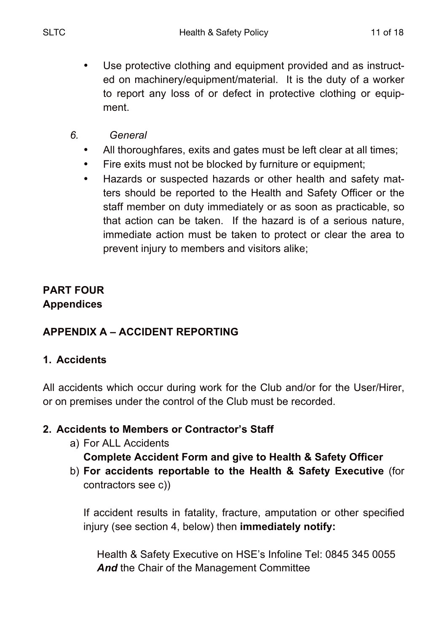- Use protective clothing and equipment provided and as instructed on machinery/equipment/material. It is the duty of a worker to report any loss of or defect in protective clothing or equipment.
- *6. General*
	- All thoroughfares, exits and gates must be left clear at all times;
	- Fire exits must not be blocked by furniture or equipment;
	- Hazards or suspected hazards or other health and safety matters should be reported to the Health and Safety Officer or the staff member on duty immediately or as soon as practicable, so that action can be taken. If the hazard is of a serious nature, immediate action must be taken to protect or clear the area to prevent injury to members and visitors alike;

# **PART FOUR Appendices**

# **APPENDIX A – ACCIDENT REPORTING**

# **1. Accidents**

All accidents which occur during work for the Club and/or for the User/Hirer, or on premises under the control of the Club must be recorded.

# **2. Accidents to Members or Contractor's Staff**

- a) For ALL Accidents **Complete Accident Form and give to Health & Safety Officer**
- b) **For accidents reportable to the Health & Safety Executive** (for contractors see c))

If accident results in fatality, fracture, amputation or other specified injury (see section 4, below) then **immediately notify:**

Health & Safety Executive on HSE's Infoline Tel: 0845 345 0055 *And* the Chair of the Management Committee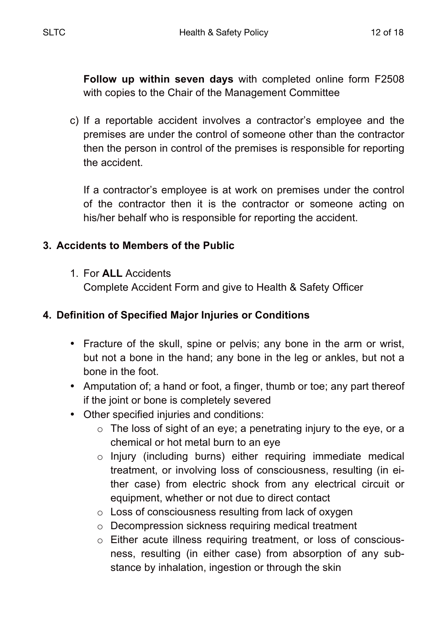**Follow up within seven days** with completed online form F2508 with copies to the Chair of the Management Committee

c) If a reportable accident involves a contractor's employee and the premises are under the control of someone other than the contractor then the person in control of the premises is responsible for reporting the accident.

If a contractor's employee is at work on premises under the control of the contractor then it is the contractor or someone acting on his/her behalf who is responsible for reporting the accident.

# **3. Accidents to Members of the Public**

1. For **ALL** Accidents

Complete Accident Form and give to Health & Safety Officer

# **4. Definition of Specified Major Injuries or Conditions**

- Fracture of the skull, spine or pelvis; any bone in the arm or wrist, but not a bone in the hand; any bone in the leg or ankles, but not a bone in the foot.
- Amputation of; a hand or foot, a finger, thumb or toe; any part thereof if the joint or bone is completely severed
- Other specified injuries and conditions:
	- $\circ$  The loss of sight of an eye; a penetrating injury to the eye, or a chemical or hot metal burn to an eye
	- o Injury (including burns) either requiring immediate medical treatment, or involving loss of consciousness, resulting (in either case) from electric shock from any electrical circuit or equipment, whether or not due to direct contact
	- o Loss of consciousness resulting from lack of oxygen
	- o Decompression sickness requiring medical treatment
	- o Either acute illness requiring treatment, or loss of consciousness, resulting (in either case) from absorption of any substance by inhalation, ingestion or through the skin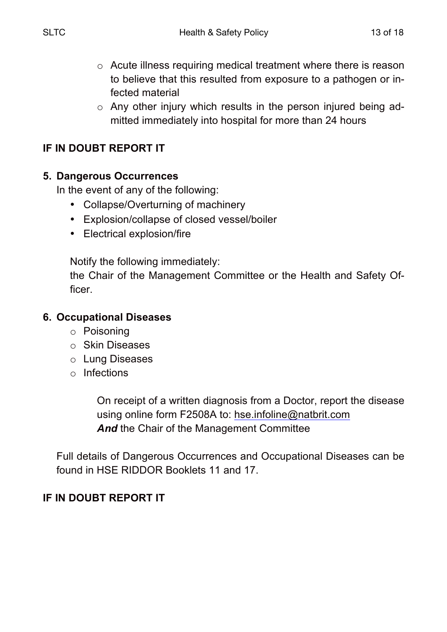- o Acute illness requiring medical treatment where there is reason to believe that this resulted from exposure to a pathogen or infected material
- o Any other injury which results in the person injured being admitted immediately into hospital for more than 24 hours

## **IF IN DOUBT REPORT IT**

#### **5. Dangerous Occurrences**

In the event of any of the following:

- Collapse/Overturning of machinery
- Explosion/collapse of closed vessel/boiler
- Electrical explosion/fire

Notify the following immediately:

the Chair of the Management Committee or the Health and Safety Officer.

#### **6. Occupational Diseases**

- o Poisoning
- o Skin Diseases
- o Lung Diseases
- o Infections

On receipt of a written diagnosis from a Doctor, report the disease using online form F2508A to: hse.infoline@natbrit.com And the Chair of the Management Committee

Full details of Dangerous Occurrences and Occupational Diseases can be found in HSE RIDDOR Booklets 11 and 17.

# **IF IN DOUBT REPORT IT**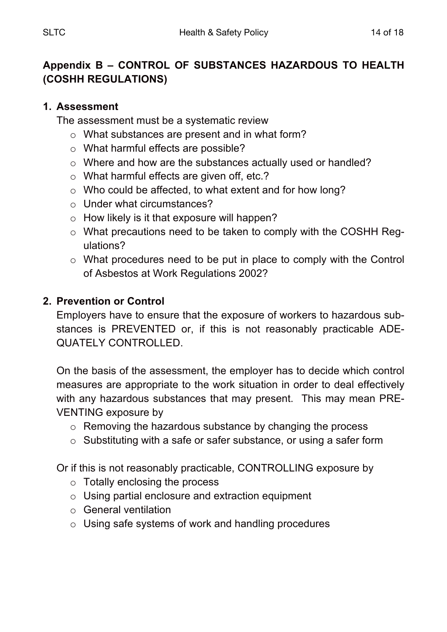# **Appendix B – CONTROL OF SUBSTANCES HAZARDOUS TO HEALTH (COSHH REGULATIONS)**

#### **1. Assessment**

The assessment must be a systematic review

- o What substances are present and in what form?
- o What harmful effects are possible?
- o Where and how are the substances actually used or handled?
- o What harmful effects are given off, etc.?
- o Who could be affected, to what extent and for how long?
- o Under what circumstances?
- $\circ$  How likely is it that exposure will happen?
- o What precautions need to be taken to comply with the COSHH Regulations?
- o What procedures need to be put in place to comply with the Control of Asbestos at Work Regulations 2002?

# **2. Prevention or Control**

Employers have to ensure that the exposure of workers to hazardous substances is PREVENTED or, if this is not reasonably practicable ADE-QUATELY CONTROLLED.

On the basis of the assessment, the employer has to decide which control measures are appropriate to the work situation in order to deal effectively with any hazardous substances that may present. This may mean PRE-VENTING exposure by

- o Removing the hazardous substance by changing the process
- o Substituting with a safe or safer substance, or using a safer form

Or if this is not reasonably practicable, CONTROLLING exposure by

- o Totally enclosing the process
- o Using partial enclosure and extraction equipment
- o General ventilation
- o Using safe systems of work and handling procedures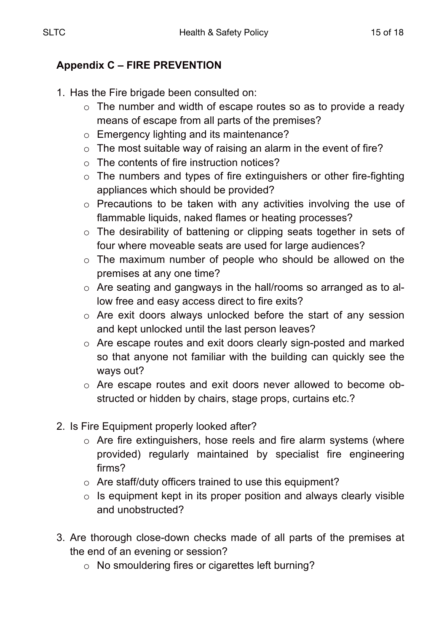# **Appendix C – FIRE PREVENTION**

- 1. Has the Fire brigade been consulted on:
	- o The number and width of escape routes so as to provide a ready means of escape from all parts of the premises?
	- o Emergency lighting and its maintenance?
	- o The most suitable way of raising an alarm in the event of fire?
	- o The contents of fire instruction notices?
	- $\circ$  The numbers and types of fire extinguishers or other fire-fighting appliances which should be provided?
	- o Precautions to be taken with any activities involving the use of flammable liquids, naked flames or heating processes?
	- o The desirability of battening or clipping seats together in sets of four where moveable seats are used for large audiences?
	- o The maximum number of people who should be allowed on the premises at any one time?
	- o Are seating and gangways in the hall/rooms so arranged as to allow free and easy access direct to fire exits?
	- o Are exit doors always unlocked before the start of any session and kept unlocked until the last person leaves?
	- o Are escape routes and exit doors clearly sign-posted and marked so that anyone not familiar with the building can quickly see the ways out?
	- o Are escape routes and exit doors never allowed to become obstructed or hidden by chairs, stage props, curtains etc.?
- 2. Is Fire Equipment properly looked after?
	- o Are fire extinguishers, hose reels and fire alarm systems (where provided) regularly maintained by specialist fire engineering firms?
	- o Are staff/duty officers trained to use this equipment?
	- $\circ$  Is equipment kept in its proper position and always clearly visible and unobstructed?
- 3. Are thorough close-down checks made of all parts of the premises at the end of an evening or session?
	- o No smouldering fires or cigarettes left burning?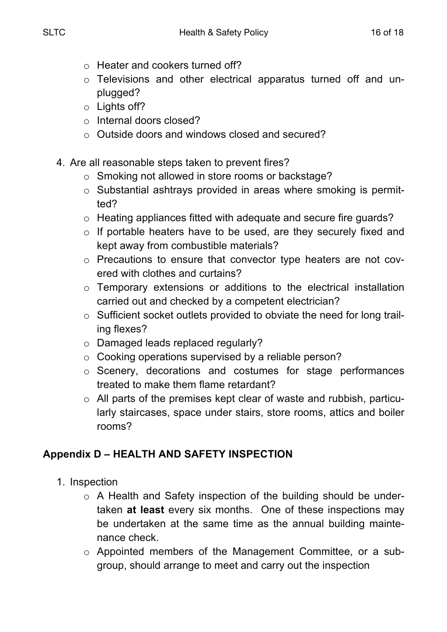- o Heater and cookers turned off?
- o Televisions and other electrical apparatus turned off and unplugged?
- o Lights off?
- o Internal doors closed?
- o Outside doors and windows closed and secured?
- 4. Are all reasonable steps taken to prevent fires?
	- o Smoking not allowed in store rooms or backstage?
	- o Substantial ashtrays provided in areas where smoking is permitted?
	- o Heating appliances fitted with adequate and secure fire guards?
	- o If portable heaters have to be used, are they securely fixed and kept away from combustible materials?
	- o Precautions to ensure that convector type heaters are not covered with clothes and curtains?
	- o Temporary extensions or additions to the electrical installation carried out and checked by a competent electrician?
	- o Sufficient socket outlets provided to obviate the need for long trailing flexes?
	- o Damaged leads replaced regularly?
	- o Cooking operations supervised by a reliable person?
	- o Scenery, decorations and costumes for stage performances treated to make them flame retardant?
	- o All parts of the premises kept clear of waste and rubbish, particularly staircases, space under stairs, store rooms, attics and boiler rooms?

# **Appendix D – HEALTH AND SAFETY INSPECTION**

- 1. Inspection
	- o A Health and Safety inspection of the building should be undertaken **at least** every six months. One of these inspections may be undertaken at the same time as the annual building maintenance check.
	- o Appointed members of the Management Committee, or a subgroup, should arrange to meet and carry out the inspection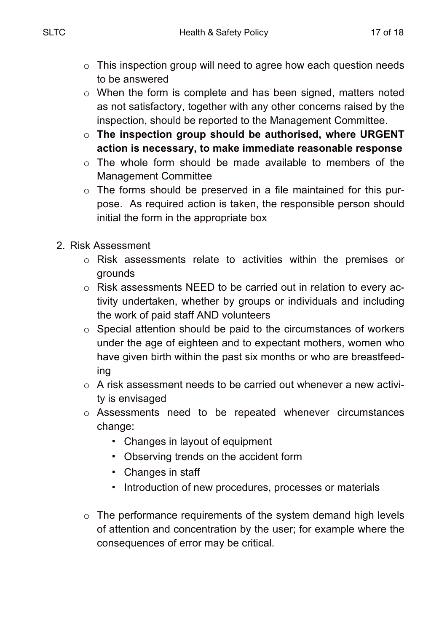- o This inspection group will need to agree how each question needs to be answered
- o When the form is complete and has been signed, matters noted as not satisfactory, together with any other concerns raised by the inspection, should be reported to the Management Committee.
- o **The inspection group should be authorised, where URGENT action is necessary, to make immediate reasonable response**
- o The whole form should be made available to members of the Management Committee
- o The forms should be preserved in a file maintained for this purpose. As required action is taken, the responsible person should initial the form in the appropriate box
- 2. Risk Assessment
	- o Risk assessments relate to activities within the premises or grounds
	- o Risk assessments NEED to be carried out in relation to every activity undertaken, whether by groups or individuals and including the work of paid staff AND volunteers
	- o Special attention should be paid to the circumstances of workers under the age of eighteen and to expectant mothers, women who have given birth within the past six months or who are breastfeeding
	- o A risk assessment needs to be carried out whenever a new activity is envisaged
	- o Assessments need to be repeated whenever circumstances change:
		- Changes in layout of equipment
		- Observing trends on the accident form
		- Changes in staff
		- Introduction of new procedures, processes or materials
	- o The performance requirements of the system demand high levels of attention and concentration by the user; for example where the consequences of error may be critical.